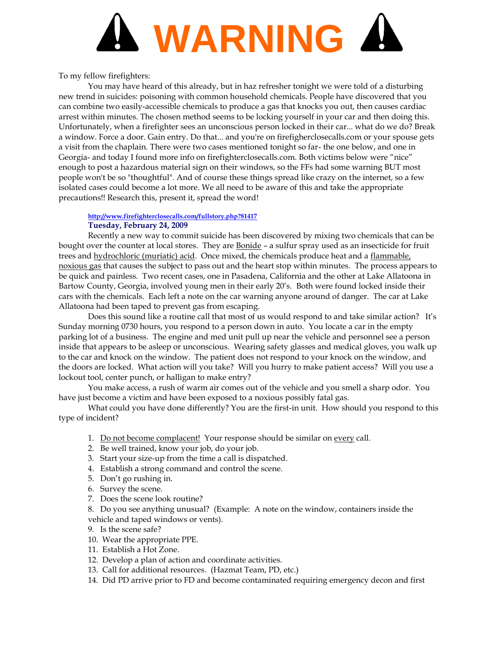

To my fellow firefighters:

You may have heard of this already, but in haz refresher tonight we were told of a disturbing new trend in suicides: poisoning with common household chemicals. People have discovered that you can combine two easily-accessible chemicals to produce a gas that knocks you out, then causes cardiac arrest within minutes. The chosen method seems to be locking yourself in your car and then doing this. Unfortunately, when a firefighter sees an unconscious person locked in their car... what do we do? Break a window. Force a door. Gain entry. Do that... and you're on firefigherclosecalls.com or your spouse gets a visit from the chaplain. There were two cases mentioned tonight so far- the one below, and one in Georgia- and today I found more info on firefighterclosecalls.com. Both victims below were "nice" enough to post a hazardous material sign on their windows, so the FFs had some warning BUT most people won't be so "thoughtful". And of course these things spread like crazy on the internet, so a few isolated cases could become a lot more. We all need to be aware of this and take the appropriate precautions!! Research this, present it, spread the word!

## **<http://www.firefighterclosecalls.com/fullstory.php?81417> Tuesday, February 24, 2009**

Recently a new way to commit suicide has been discovered by mixing two chemicals that can be bought over the counter at local stores. They are **Bonide** – a sulfur spray used as an insecticide for fruit trees and hydrochloric (muriatic) acid. Once mixed, the chemicals produce heat and a flammable, noxious gas that causes the subject to pass out and the heart stop within minutes. The process appears to be quick and painless. Two recent cases, one in Pasadena, California and the other at Lake Allatoona in Bartow County, Georgia, involved young men in their early 20's. Both were found locked inside their cars with the chemicals. Each left a note on the car warning anyone around of danger. The car at Lake Allatoona had been taped to prevent gas from escaping.

Does this sound like a routine call that most of us would respond to and take similar action? It's Sunday morning 0730 hours, you respond to a person down in auto. You locate a car in the empty parking lot of a business. The engine and med unit pull up near the vehicle and personnel see a person inside that appears to be asleep or unconscious. Wearing safety glasses and medical gloves, you walk up to the car and knock on the window. The patient does not respond to your knock on the window, and the doors are locked. What action will you take? Will you hurry to make patient access? Will you use a lockout tool, center punch, or halligan to make entry?

You make access, a rush of warm air comes out of the vehicle and you smell a sharp odor. You have just become a victim and have been exposed to a noxious possibly fatal gas.

What could you have done differently? You are the first-in unit. How should you respond to this type of incident?

- 1. Do not become complacent! Your response should be similar on every call.
- 2. Be well trained, know your job, do your job.
- 3. Start your size-up from the time a call is dispatched.
- 4. Establish a strong command and control the scene.
- 5. Don't go rushing in.
- 6. Survey the scene.
- 7. Does the scene look routine?
- 8. Do you see anything unusual? (Example: A note on the window, containers inside the vehicle and taped windows or vents).
- 9. Is the scene safe?
- 10. Wear the appropriate PPE.
- 11. Establish a Hot Zone.
- 12. Develop a plan of action and coordinate activities.
- 13. Call for additional resources. (Hazmat Team, PD, etc.)
- 14. Did PD arrive prior to FD and become contaminated requiring emergency decon and first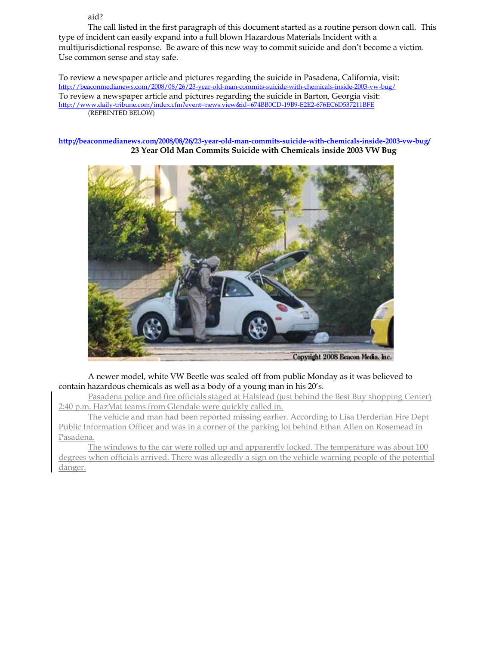aid?

The call listed in the first paragraph of this document started as a routine person down call. This type of incident can easily expand into a full blown Hazardous Materials Incident with a multijurisdictional response. Be aware of this new way to commit suicide and don't become a victim. Use common sense and stay safe.

To review a newspaper article and pictures regarding the suicide in Pasadena, California, visit: <http://beaconmedianews.com/2008/08/26/23-year-old-man-commits-suicide-with-chemicals-inside-2003-vw-bug/> To review a newspaper article and pictures regarding the suicide in Barton, Georgia visit: <http://www.daily-tribune.com/index.cfm?event=news.view&id=674BB0CD-19B9-E2E2-676EC6D537211BFE> (REPRINTED BELOW)

**<http://beaconmedianews.com/2008/08/26/23-year-old-man-commits-suicide-with-chemicals-inside-2003-vw-bug/> 23 Year Old Man Commits Suicide with Chemicals inside 2003 VW Bug**



A newer model, white VW Beetle was sealed off from public Monday as it was believed to contain hazardous chemicals as well as a body of a young man in his 20's.

Pasadena police and fire officials staged at Halstead (just behind the Best Buy shopping Center) 2:40 p.m. HazMat teams from Glendale were quickly called in.

The vehicle and man had been reported missing earlier. According to Lisa Derderian Fire Dept Public Information Officer and was in a corner of the parking lot behind Ethan Allen on Rosemead in Pasadena.

The windows to the car were rolled up and apparently locked. The temperature was about 100 degrees when officials arrived. There was allegedly a sign on the vehicle warning people of the potential danger.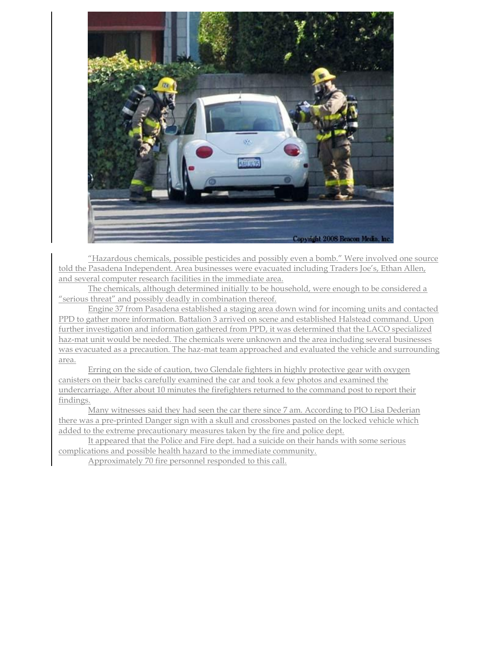

"Hazardous chemicals, possible pesticides and possibly even a bomb." Were involved one source told the Pasadena Independent. Area businesses were evacuated including Traders Joe's, Ethan Allen, and several computer research facilities in the immediate area.

The chemicals, although determined initially to be household, were enough to be considered a "serious threat" and possibly deadly in combination thereof.

Engine 37 from Pasadena established a staging area down wind for incoming units and contacted PPD to gather more information. Battalion 3 arrived on scene and established Halstead command. Upon further investigation and information gathered from PPD, it was determined that the LACO specialized haz-mat unit would be needed. The chemicals were unknown and the area including several businesses was evacuated as a precaution. The haz-mat team approached and evaluated the vehicle and surrounding area.

Erring on the side of caution, two Glendale fighters in highly protective gear with oxygen canisters on their backs carefully examined the car and took a few photos and examined the undercarriage. After about 10 minutes the firefighters returned to the command post to report their findings.

Many witnesses said they had seen the car there since 7 am. According to PIO Lisa Dederian there was a pre-printed Danger sign with a skull and crossbones pasted on the locked vehicle which added to the extreme precautionary measures taken by the fire and police dept.

It appeared that the Police and Fire dept. had a suicide on their hands with some serious complications and possible health hazard to the immediate community.

Approximately 70 fire personnel responded to this call.